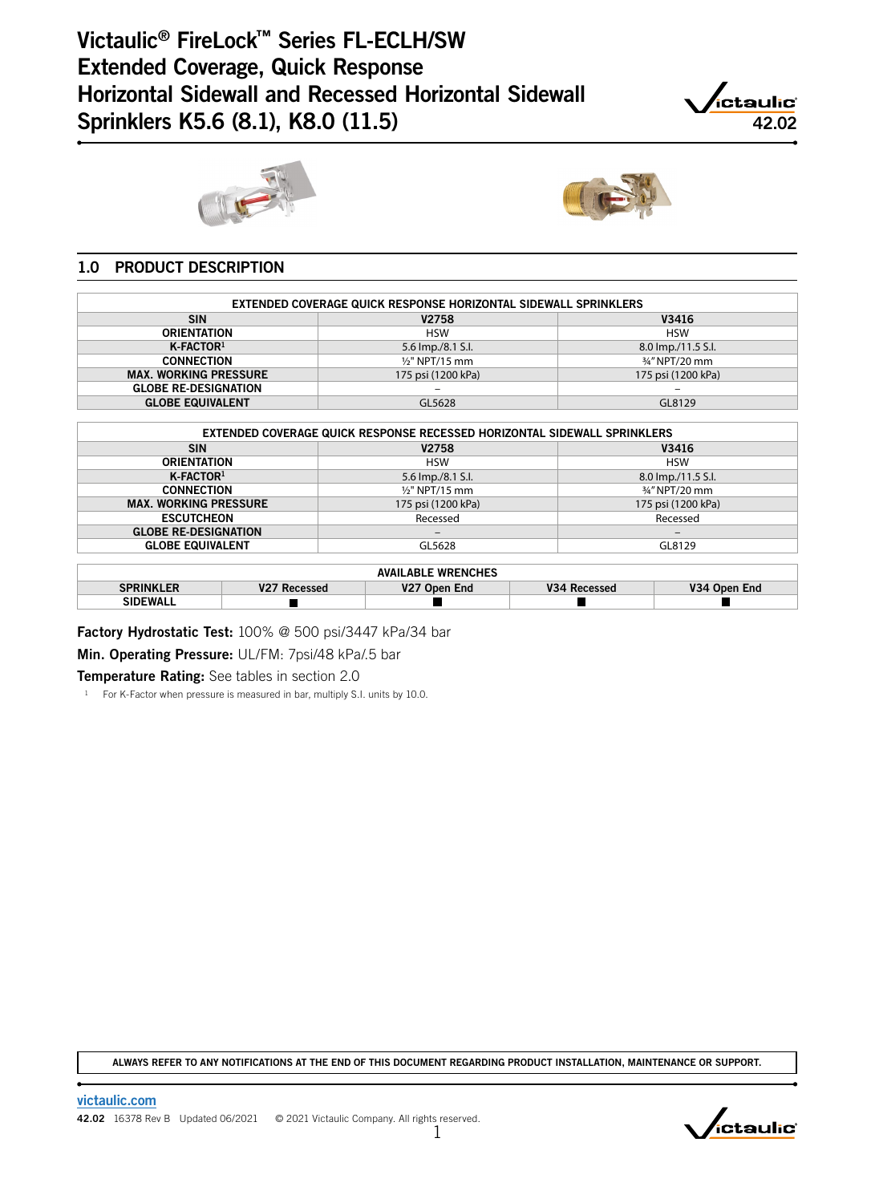# Victaulic® FireLock™ Series FL-ECLH/SW Extended Coverage, Quick Response Horizontal Sidewall and Recessed Horizontal Sidewall Horizontal Sidewall and Recessed Horizontal Sidewall<br>Sprinklers K5.6 (8.1), K8.0 (11.5) 42.02







### 1.0 PRODUCT DESCRIPTION

| <b>EXTENDED COVERAGE QUICK RESPONSE HORIZONTAL SIDEWALL SPRINKLERS</b> |                    |                              |  |  |  |  |  |  |  |  |  |
|------------------------------------------------------------------------|--------------------|------------------------------|--|--|--|--|--|--|--|--|--|
| V3416<br><b>SIN</b><br><b>V2758</b>                                    |                    |                              |  |  |  |  |  |  |  |  |  |
| <b>ORIENTATION</b>                                                     | <b>HSW</b>         | <b>HSW</b>                   |  |  |  |  |  |  |  |  |  |
| $K$ -FACTOR $1$                                                        | 5.6 lmp./8.1 S.l.  | 8.0 lmp./11.5 S.l.           |  |  |  |  |  |  |  |  |  |
| <b>CONNECTION</b>                                                      | $1/2$ " NPT/15 mm  | 3/4" NPT/20 mm               |  |  |  |  |  |  |  |  |  |
| <b>MAX. WORKING PRESSURE</b>                                           | 175 psi (1200 kPa) | 175 psi (1200 kPa)           |  |  |  |  |  |  |  |  |  |
| <b>GLOBE RE-DESIGNATION</b>                                            | $-$                | $\qquad \qquad \blacksquare$ |  |  |  |  |  |  |  |  |  |
| <b>GLOBE EQUIVALENT</b>                                                | GL5628             | GL8129                       |  |  |  |  |  |  |  |  |  |
|                                                                        |                    |                              |  |  |  |  |  |  |  |  |  |

| EXTENDED COVERAGE QUICK RESPONSE RECESSED HORIZONTAL SIDEWALL SPRINKLERS |                    |                          |  |  |  |  |  |  |  |
|--------------------------------------------------------------------------|--------------------|--------------------------|--|--|--|--|--|--|--|
| <b>SIN</b>                                                               | V2758              | V3416                    |  |  |  |  |  |  |  |
| <b>ORIENTATION</b>                                                       | <b>HSW</b>         | <b>HSW</b>               |  |  |  |  |  |  |  |
| K-FACTOR <sup>1</sup>                                                    | 5.6 lmp./8.1 S.l.  | 8.0 lmp./11.5 S.l.       |  |  |  |  |  |  |  |
| <b>CONNECTION</b>                                                        | $1/2$ " NPT/15 mm  | 3/4" NPT/20 mm           |  |  |  |  |  |  |  |
| <b>MAX. WORKING PRESSURE</b>                                             | 175 psi (1200 kPa) | 175 psi (1200 kPa)       |  |  |  |  |  |  |  |
| <b>ESCUTCHEON</b>                                                        | Recessed           | Recessed                 |  |  |  |  |  |  |  |
| <b>GLOBE RE-DESIGNATION</b>                                              | -                  | $\overline{\phantom{m}}$ |  |  |  |  |  |  |  |
| <b>GLOBE EQUIVALENT</b>                                                  | GL5628             | GL8129                   |  |  |  |  |  |  |  |
|                                                                          |                    |                          |  |  |  |  |  |  |  |
| <b>AVAILABLE WRENCHES</b>                                                |                    |                          |  |  |  |  |  |  |  |

| <b>SPRINKI FR</b> | งวา<br>Recessed | Open End<br>V <sub>27</sub> | V34<br>Recessed | ۷34<br>Open End |  |  |  |  |  |
|-------------------|-----------------|-----------------------------|-----------------|-----------------|--|--|--|--|--|
| <b>SIDEWALL</b>   |                 |                             |                 |                 |  |  |  |  |  |

Factory Hydrostatic Test: 100% @ 500 psi/3447 kPa/34 bar Min. Operating Pressure: UL/FM: 7psi/48 kPa/.5 bar

**Temperature Rating:** See tables in section 2.0

<sup>1</sup> For K-Factor when pressure is measured in bar, multiply S.I. units by 10.0.

ALWAYS REFER TO ANY NOTIFICATIONS AT THE END OF THIS DOCUMENT REGARDING PRODUCT INSTALLATION, MAINTENANCE OR SUPPORT.

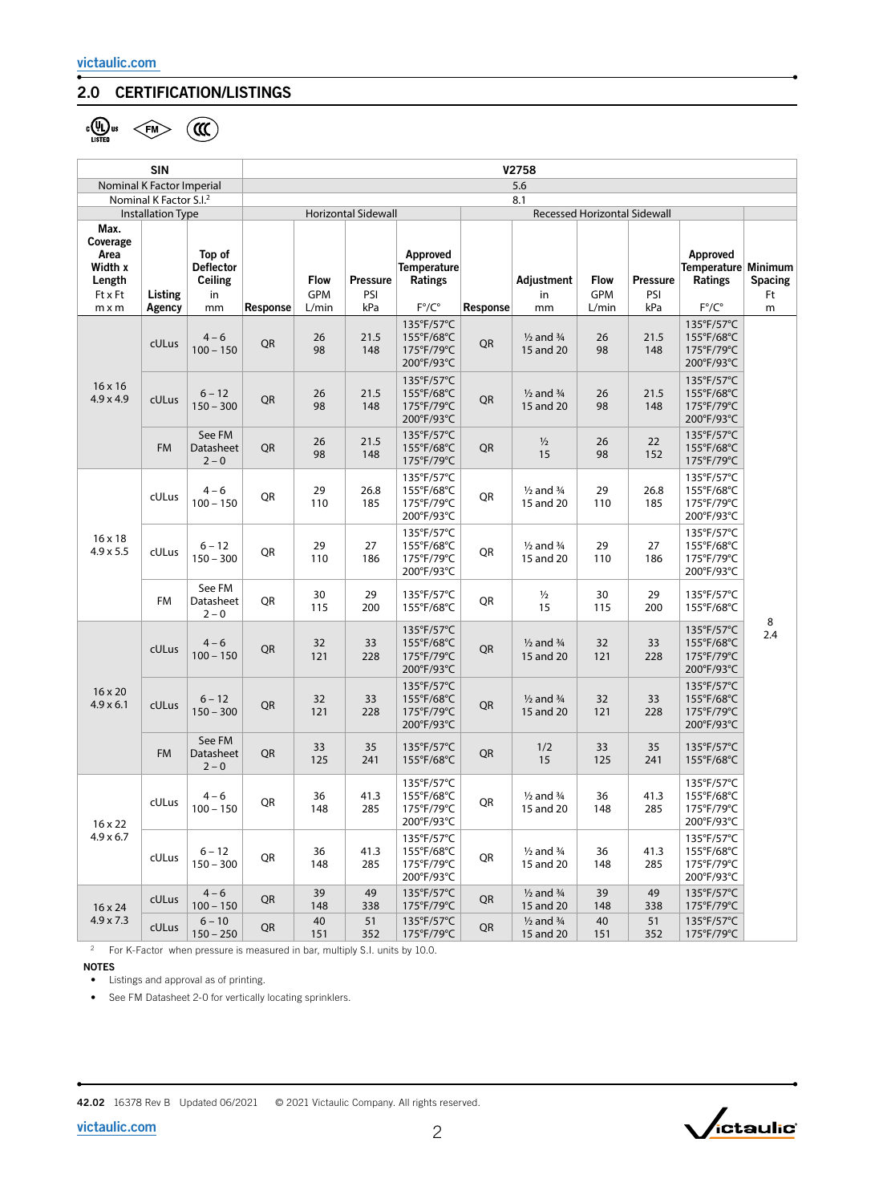### 2.0 CERTIFICATION/LISTINGS

 $\frac{1}{2}$ 

|                                                                          | <b>SIN</b>                                                     |                                                   | V2758                                                                    |                                    |                               |                                                             |                 |                                              |                             |                               |                                                                     |                    |
|--------------------------------------------------------------------------|----------------------------------------------------------------|---------------------------------------------------|--------------------------------------------------------------------------|------------------------------------|-------------------------------|-------------------------------------------------------------|-----------------|----------------------------------------------|-----------------------------|-------------------------------|---------------------------------------------------------------------|--------------------|
|                                                                          | Nominal K Factor Imperial                                      |                                                   | 5.6                                                                      |                                    |                               |                                                             |                 |                                              |                             |                               |                                                                     |                    |
|                                                                          | Nominal K Factor S.I. <sup>2</sup><br><b>Installation Type</b> |                                                   | 8.1<br><b>Horizontal Sidewall</b><br><b>Recessed Horizontal Sidewall</b> |                                    |                               |                                                             |                 |                                              |                             |                               |                                                                     |                    |
| Max.<br>Coverage<br>Area<br>Width x<br>Length<br>Ft x Ft<br>$m \times m$ | Listing<br>Agency                                              | Top of<br><b>Deflector</b><br>Ceiling<br>in<br>mm | Response                                                                 | <b>Flow</b><br><b>GPM</b><br>L/min | <b>Pressure</b><br>PSI<br>kPa | Approved<br>Temperature<br>Ratings<br>$F^{\circ}/C^{\circ}$ | <b>Response</b> | Adjustment<br>in<br>mm                       | <b>Flow</b><br>GPM<br>L/min | <b>Pressure</b><br>PSI<br>kPa | Approved<br>Temperature Minimum<br>Ratings<br>$F^{\circ}/C^{\circ}$ | Spacing<br>Ft<br>m |
|                                                                          | cULus                                                          | $4 - 6$<br>$100 - 150$                            | QR                                                                       | 26<br>98                           | 21.5<br>148                   | 135°F/57°C<br>155°F/68°C<br>175°F/79°C<br>200°F/93°C        | QR              | $\frac{1}{2}$ and $\frac{3}{4}$<br>15 and 20 | 26<br>98                    | 21.5<br>148                   | 135°F/57°C<br>155°F/68°C<br>175°F/79°C<br>200°F/93°C                |                    |
| $16 \times 16$<br>$4.9 \times 4.9$                                       | cULus                                                          | $6 - 12$<br>$150 - 300$                           | QR                                                                       | 26<br>98                           | 21.5<br>148                   | 135°F/57°C<br>155°F/68°C<br>175°F/79°C<br>200°F/93°C        | QR              | $\frac{1}{2}$ and $\frac{3}{4}$<br>15 and 20 | 26<br>98                    | 21.5<br>148                   | 135°F/57°C<br>155°F/68°C<br>175°F/79°C<br>200°F/93°C                |                    |
|                                                                          | <b>FM</b>                                                      | See FM<br>Datasheet<br>$2 - 0$                    | QR                                                                       | 26<br>98                           | 21.5<br>148                   | 135°F/57°C<br>155°F/68°C<br>175°F/79°C                      | QR              | $\frac{1}{2}$<br>15                          | 26<br>98                    | 22<br>152                     | 135°F/57°C<br>155°F/68°C<br>175°F/79°C                              |                    |
| 16 x 18<br>$4.9 \times 5.5$                                              | cULus                                                          | $4 - 6$<br>$100 - 150$                            | QR                                                                       | 29<br>110                          | 26.8<br>185                   | 135°F/57°C<br>155°F/68°C<br>175°F/79°C<br>200°F/93°C        | QR              | $\frac{1}{2}$ and $\frac{3}{4}$<br>15 and 20 | 29<br>110                   | 26.8<br>185                   | 135°F/57°C<br>155°F/68°C<br>175°F/79°C<br>200°F/93°C                | 8<br>2.4           |
|                                                                          | cULus                                                          | $6 - 12$<br>$150 - 300$                           | QR                                                                       | 29<br>110                          | 27<br>186                     | 135°F/57°C<br>155°F/68°C<br>175°F/79°C<br>200°F/93°C        | QR              | $\frac{1}{2}$ and $\frac{3}{4}$<br>15 and 20 | 29<br>110                   | 27<br>186                     | 135°F/57°C<br>155°F/68°C<br>175°F/79°C<br>200°F/93°C                |                    |
|                                                                          | FM                                                             | See FM<br>Datasheet<br>$2 - 0$                    | QR                                                                       | 30<br>115                          | 29<br>200                     | 135°F/57°C<br>155°F/68°C                                    | QR              | $\frac{1}{2}$<br>15                          | 30<br>115                   | 29<br>200                     | 135°F/57°C<br>155°F/68°C                                            |                    |
|                                                                          | cULus                                                          | $4 - 6$<br>$100 - 150$                            | QR                                                                       | 32<br>121                          | 33<br>228                     | 135°F/57°C<br>155°F/68°C<br>175°F/79°C<br>200°F/93°C        | QR              | $\frac{1}{2}$ and $\frac{3}{4}$<br>15 and 20 | 32<br>121                   | 33<br>228                     | 135°F/57°C<br>155°F/68°C<br>175°F/79°C<br>200°F/93°C                |                    |
| 16 x 20<br>$4.9 \times 6.1$<br>$16 \times 22$<br>$4.9 \times 6.7$        | cULus                                                          | $6 - 12$<br>$150 - 300$                           | QR                                                                       | 32<br>121                          | 33<br>228                     | 135°F/57°C<br>155°F/68°C<br>175°F/79°C<br>200°F/93°C        | QR              | $\frac{1}{2}$ and $\frac{3}{4}$<br>15 and 20 | 32<br>121                   | 33<br>228                     | 135°F/57°C<br>155°F/68°C<br>175°F/79°C<br>200°F/93°C                |                    |
|                                                                          | <b>FM</b>                                                      | See FM<br>Datasheet<br>$2 - 0$                    | QR                                                                       | 33<br>125                          | 35<br>241                     | 135°F/57°C<br>155°F/68°C                                    | QR              | 1/2<br>15                                    | 33<br>125                   | 35<br>241                     | 135°F/57°C<br>155°F/68°C                                            |                    |
|                                                                          | cULus                                                          | $4 - 6$<br>$100 - 150$                            | QR                                                                       | 36<br>148                          | 41.3<br>285                   | 135°F/57°C<br>155°F/68°C<br>175°F/79°C<br>200°F/93°C        | QR              | $\frac{1}{2}$ and $\frac{3}{4}$<br>15 and 20 | 36<br>148                   | 41.3<br>285                   | 135°F/57°C<br>155°F/68°C<br>175°F/79°C<br>200°F/93°C                |                    |
|                                                                          | cULus                                                          | $6 - 12$<br>$150 - 300$                           | QR                                                                       | 36<br>148                          | 41.3<br>285                   | 135°F/57°C<br>155°F/68°C<br>175°F/79°C<br>200°F/93°C        | QR              | $\frac{1}{2}$ and $\frac{3}{4}$<br>15 and 20 | 36<br>148                   | 41.3<br>285                   | 135°F/57°C<br>155°F/68°C<br>175°F/79°C<br>200°F/93°C                |                    |
| 16 x 24                                                                  | cULus                                                          | $4 - 6$<br>$100 - 150$                            | QR                                                                       | 39<br>148                          | 49<br>338                     | 135°F/57°C<br>175°F/79°C                                    | QR              | $\frac{1}{2}$ and $\frac{3}{4}$<br>15 and 20 | 39<br>148                   | 49<br>338                     | 135°F/57°C<br>175°F/79°C                                            |                    |
| $4.9 \times 7.3$                                                         | cULus                                                          | $6 - 10$<br>$150 - 250$                           | QR                                                                       | 40<br>151                          | 51<br>352                     | 135°F/57°C<br>175°F/79°C                                    | QR              | $\frac{1}{2}$ and $\frac{3}{4}$<br>15 and 20 | 40<br>151                   | 51<br>352                     | 135°F/57°C<br>175°F/79°C                                            |                    |

<sup>2</sup> For K-Factor when pressure is measured in bar, multiply S.I. units by 10.0.

NOTES

• Listings and approval as of printing.

• See FM Datasheet 2-0 for vertically locating sprinklers.

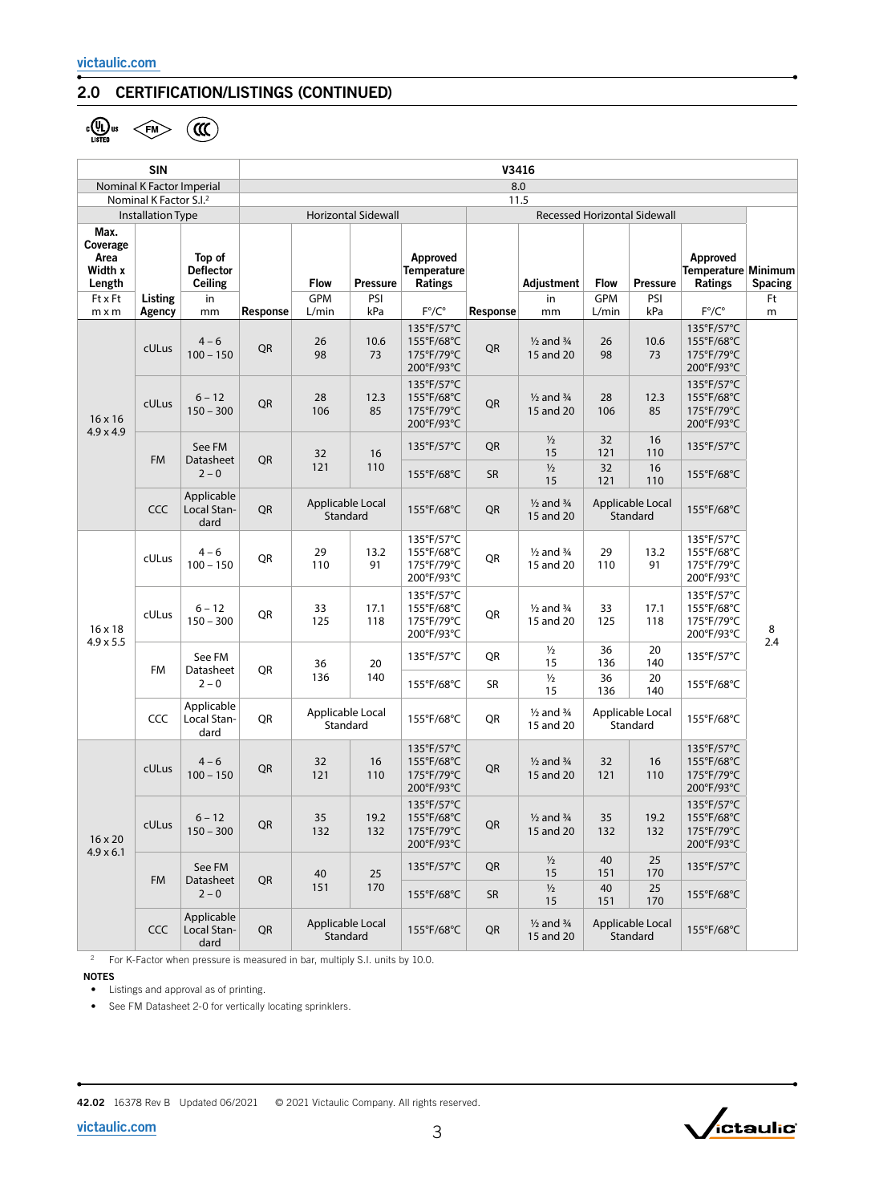### 2.0 CERTIFICATION/LISTINGS (CONTINUED)

 $\frac{1}{\sqrt{2}}$ us  $\left\langle \frac{F}{F}M \right\rangle$   $\left(\frac{F}{F}M\right)$ 

|                                               | <b>SIN</b>                                                      |                                              | V3416                                                             |                              |                 |                                                      |                                                              |                                              |                              |                                            |                                                      |         |
|-----------------------------------------------|-----------------------------------------------------------------|----------------------------------------------|-------------------------------------------------------------------|------------------------------|-----------------|------------------------------------------------------|--------------------------------------------------------------|----------------------------------------------|------------------------------|--------------------------------------------|------------------------------------------------------|---------|
|                                               | Nominal K Factor Imperial<br>Nominal K Factor S.I. <sup>2</sup> |                                              | 8.0<br>11.5                                                       |                              |                 |                                                      |                                                              |                                              |                              |                                            |                                                      |         |
|                                               | <b>Installation Type</b>                                        |                                              | <b>Recessed Horizontal Sidewall</b><br><b>Horizontal Sidewall</b> |                              |                 |                                                      |                                                              |                                              |                              |                                            |                                                      |         |
| Max.<br>Coverage<br>Area<br>Width x<br>Length |                                                                 | Top of<br><b>Deflector</b><br><b>Ceiling</b> |                                                                   | <b>Flow</b>                  | <b>Pressure</b> | Approved<br>Temperature<br>Ratings                   |                                                              | Adjustment                                   | <b>Flow</b>                  | <b>Pressure</b>                            | Approved<br>Temperature Minimum<br><b>Ratings</b>    | Spacing |
| Ft x Ft<br>$m \times m$                       | Listing<br>Agency                                               | in<br>mm                                     | Response                                                          | GPM<br>L/min                 | PSI<br>kPa      | $F^{\circ}/C^{\circ}$                                | Response                                                     | in<br>mm                                     | GPM<br>L/min                 | PSI<br>kPa                                 | $F^{\circ}/C^{\circ}$                                | Ft<br>m |
|                                               | cULus                                                           | $4 - 6$<br>$100 - 150$                       | QR                                                                | 26<br>98                     | 10.6<br>73      | 135°F/57°C<br>155°F/68°C<br>175°F/79°C<br>200°F/93°C | QR                                                           | $\frac{1}{2}$ and $\frac{3}{4}$<br>15 and 20 | 26<br>98                     | 10.6<br>73                                 | 135°F/57°C<br>155°F/68°C<br>175°F/79°C<br>200°F/93°C |         |
| $16 \times 16$<br>$4.9 \times 4.9$            | cULus                                                           | $6 - 12$<br>$150 - 300$                      | QR                                                                | 28<br>106                    | 12.3<br>85      | 135°F/57°C<br>155°F/68°C<br>175°F/79°C<br>200°F/93°C | QR                                                           | $\frac{1}{2}$ and $\frac{3}{4}$<br>15 and 20 | 28<br>106                    | 12.3<br>85                                 | 135°F/57°C<br>155°F/68°C<br>175°F/79°C<br>200°F/93°C |         |
|                                               | <b>FM</b>                                                       | See FM<br>Datasheet                          | QR                                                                | 32                           | 16              | 135°F/57°C                                           | QR                                                           | $\frac{1}{2}$<br>15                          | 32<br>121                    | 16<br>110                                  | 135°F/57°C                                           |         |
|                                               |                                                                 | $2 - 0$                                      |                                                                   | 121                          | 110             | 155°F/68°C                                           | <b>SR</b>                                                    | $\frac{1}{2}$<br>15                          | 32<br>121                    | 16<br>110                                  | 155°F/68°C                                           |         |
|                                               | CCC                                                             | Applicable<br>Local Stan-<br>dard            | QR                                                                | Applicable Local<br>Standard |                 | 155°F/68°C                                           | QR                                                           | $\frac{1}{2}$ and $\frac{3}{4}$<br>15 and 20 |                              | Applicable Local<br>155°F/68°C<br>Standard |                                                      |         |
| $16 \times 18$                                | cULus                                                           | $4 - 6$<br>$100 - 150$                       | QR                                                                | 29<br>110                    | 13.2<br>91      | 135°F/57°C<br>155°F/68°C<br>175°F/79°C<br>200°F/93°C | QR                                                           | $\frac{1}{2}$ and $\frac{3}{4}$<br>15 and 20 | 29<br>110                    | 13.2<br>91                                 | 135°F/57°C<br>155°F/68°C<br>175°F/79°C<br>200°F/93°C |         |
|                                               | cULus                                                           | $6 - 12$<br>$150 - 300$                      | QR                                                                | 33<br>125                    | 17.1<br>118     | 135°F/57°C<br>155°F/68°C<br>175°F/79°C<br>200°F/93°C | QR                                                           | $\frac{1}{2}$ and $\frac{3}{4}$<br>15 and 20 | 33<br>125                    | 17.1<br>118                                | 135°F/57°C<br>155°F/68°C<br>175°F/79°C<br>200°F/93°C | 8       |
| $4.9 \times 5.5$                              | See FM<br><b>FM</b><br>Datasheet<br>$2 - 0$                     |                                              | 36                                                                | 20                           | 135°F/57°C      | QR                                                   | $\frac{1}{2}$<br>15                                          | 36<br>136                                    | 20<br>140                    | 135°F/57°C                                 | 2.4                                                  |         |
|                                               |                                                                 |                                              | QR                                                                | 136                          | 140             | 155°F/68°C                                           | SR                                                           | $1/2$<br>15                                  | 36<br>136                    | 20<br>140                                  | 155°F/68°C                                           |         |
|                                               | <b>CCC</b>                                                      | Applicable<br>Local Stan-<br>dard            | QR                                                                | Applicable Local<br>Standard |                 | 155°F/68°C                                           | QR                                                           | $\frac{1}{2}$ and $\frac{3}{4}$<br>15 and 20 | Applicable Local<br>Standard |                                            | 155°F/68°C                                           |         |
| $16 \times 20$                                | cULus                                                           | $4 - 6$<br>$100 - 150$                       | QR                                                                | 32<br>121                    | 16<br>110       | 135°F/57°C<br>155°F/68°C<br>175°F/79°C<br>200°F/93°C | QR                                                           | $\frac{1}{2}$ and $\frac{3}{4}$<br>15 and 20 | 32<br>121                    | 16<br>110                                  | 135°F/57°C<br>155°F/68°C<br>175°F/79°C<br>200°F/93°C |         |
|                                               | cULus                                                           | $6 - 12$<br>$150 - 300$                      | $\mathsf{QR}% _{\mathsf{CL}}^{\mathsf{CL}}(\mathcal{M}_{0})$      | 35<br>132                    | 19.2<br>132     | 135°F/57°C<br>155°F/68°C<br>175°F/79°C<br>200°F/93°C | $\mathsf{QR}% _{\mathsf{CL}}^{\mathsf{CL}}(\mathcal{M}_{0})$ | $\frac{1}{2}$ and $\frac{3}{4}$<br>15 and 20 | 35<br>132                    | 19.2<br>132                                | 135°F/57°C<br>155°F/68°C<br>175°F/79°C<br>200°F/93°C |         |
| $4.9 \times 6.1$                              |                                                                 | See FM<br>FM<br>Datasheet<br>$2 - 0$         |                                                                   | 40                           | 25              | 135°F/57°C                                           | QR                                                           | $\frac{1}{2}$<br>15                          | 40<br>151                    | 25<br>170                                  | 135°F/57°C                                           |         |
|                                               |                                                                 |                                              | QR                                                                | 151                          | 170             | 155°F/68°C                                           | SR                                                           | $\frac{1}{2}$<br>15                          | 40<br>151                    | 25<br>170                                  | 155°F/68°C                                           |         |
|                                               | CCC                                                             | Applicable<br>Local Stan-<br>dard            | QR                                                                | Applicable Local<br>Standard |                 | 155°F/68°C                                           | $\mathsf{QR}% _{\mathsf{CL}}^{\mathsf{CL}}(\mathcal{M}_{0})$ | $\frac{1}{2}$ and $\frac{3}{4}$<br>15 and 20 |                              | Applicable Local<br>Standard               | 155°F/68°C                                           |         |

<sup>2</sup> For K-Factor when pressure is measured in bar, multiply S.I. units by 10.0.

NOTES

• Listings and approval as of printing.

• See FM Datasheet 2-0 for vertically locating sprinklers.

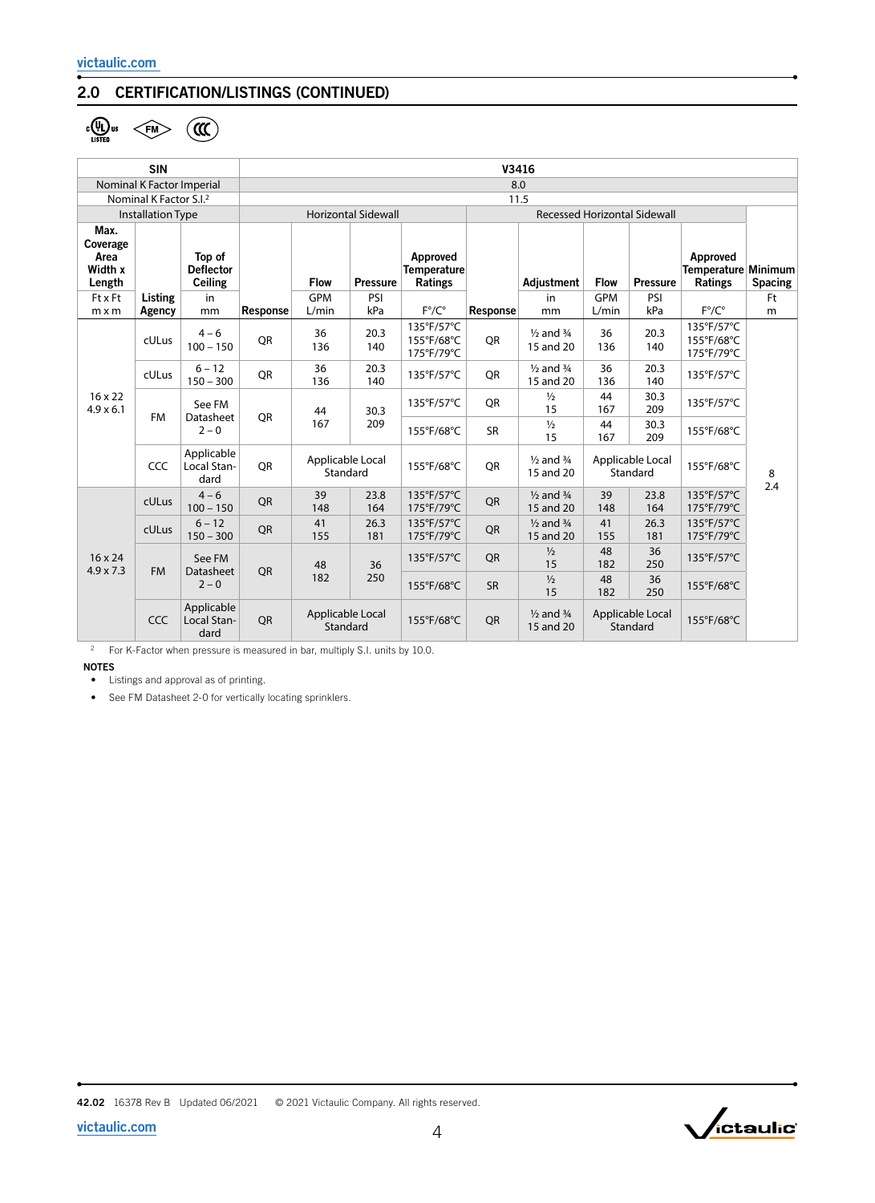### 2.0 CERTIFICATION/LISTINGS (CONTINUED)

 $\frac{1}{2}$ 

|                                               | <b>SIN</b>                         |                                                                       | V3416      |                              |                            |                                           |                                     |                                              |                              |                              |                                            |                |
|-----------------------------------------------|------------------------------------|-----------------------------------------------------------------------|------------|------------------------------|----------------------------|-------------------------------------------|-------------------------------------|----------------------------------------------|------------------------------|------------------------------|--------------------------------------------|----------------|
|                                               | Nominal K Factor Imperial          |                                                                       | 8.0        |                              |                            |                                           |                                     |                                              |                              |                              |                                            |                |
|                                               | Nominal K Factor S.I. <sup>2</sup> |                                                                       | 11.5       |                              |                            |                                           |                                     |                                              |                              |                              |                                            |                |
|                                               | <b>Installation Type</b>           |                                                                       |            |                              | <b>Horizontal Sidewall</b> |                                           | <b>Recessed Horizontal Sidewall</b> |                                              |                              |                              |                                            |                |
| Max.<br>Coverage<br>Area<br>Width x<br>Length |                                    | Top of<br><b>Deflector</b><br><b>Ceiling</b>                          |            | <b>Flow</b>                  | <b>Pressure</b>            | Approved<br><b>Temperature</b><br>Ratings |                                     | Adjustment                                   | <b>Flow</b>                  | <b>Pressure</b>              | Approved<br>Temperature Minimum<br>Ratings | <b>Spacing</b> |
| <b>Ft x Ft</b>                                | Listing                            | in                                                                    |            | <b>GPM</b>                   | PSI                        |                                           |                                     | in                                           | <b>GPM</b>                   | PSI                          |                                            | Ft             |
| $m \times m$                                  | Agency                             | mm                                                                    | Response   | L/min                        | kPa                        | $F^{\circ}/C^{\circ}$                     | Response                            | mm                                           | L/min                        | kPa                          | $F^{\circ}/C^{\circ}$                      | m              |
|                                               | cULus                              | $4 - 6$<br>$100 - 150$                                                | QR         | 36<br>136                    | 20.3<br>140                | 135°F/57°C<br>155°F/68°C<br>175°F/79°C    | QR                                  | $\frac{1}{2}$ and $\frac{3}{4}$<br>15 and 20 | 36<br>136                    | 20.3<br>140                  | 135°F/57°C<br>155°F/68°C<br>175°F/79°C     |                |
| $16 \times 22$<br>$4.9 \times 6.1$            | cULus                              | $6 - 12$<br>$150 - 300$                                               | <b>OR</b>  | 36<br>136                    | 20.3<br>140                | 135°F/57°C                                | <b>OR</b>                           | $\frac{1}{2}$ and $\frac{3}{4}$<br>15 and 20 | 36<br>136                    | 20.3<br>140                  | 135°F/57°C                                 |                |
|                                               | <b>FM</b>                          | See FM<br>Datasheet                                                   | <b>OR</b>  | 44                           | 30.3<br>209                | 135°F/57°C                                | QR                                  | $\frac{1}{2}$<br>15                          | 44<br>167                    | 30.3<br>209                  | 135°F/57°C                                 |                |
|                                               |                                    | $2 - 0$                                                               |            | 167                          |                            | 155°F/68°C                                | <b>SR</b>                           | $\frac{1}{2}$<br>15                          | 44<br>167                    | 30.3<br>209                  | 155°F/68°C                                 |                |
|                                               | CCC                                | Applicable<br>Local Stan-<br>dard                                     | <b>OR</b>  | Applicable Local<br>Standard |                            | 155°F/68°C                                | QR                                  | $\frac{1}{2}$ and $\frac{3}{4}$<br>15 and 20 | Applicable Local<br>Standard |                              | 155°F/68°C                                 | 8<br>2.4       |
|                                               | cULus                              | $4 - 6$<br>$100 - 150$                                                | QR         | 39<br>148                    | 23.8<br>164                | 135°F/57°C<br>175°F/79°C                  | QR                                  | $\frac{1}{2}$ and $\frac{3}{4}$<br>15 and 20 | 39<br>148                    | 23.8<br>164                  | 135°F/57°C<br>175°F/79°C                   |                |
| $16 \times 24$<br>$4.9 \times 7.3$            | cULus                              | $6 - 12$<br>$150 - 300$                                               | <b>OR</b>  | 41<br>155                    | 26.3<br>181                | 135°F/57°C<br>175°F/79°C                  | <b>OR</b>                           | $\frac{1}{2}$ and $\frac{3}{4}$<br>15 and 20 | 41<br>155                    | 26.3<br>181                  | 135°F/57°C<br>175°F/79°C                   |                |
|                                               | <b>FM</b>                          | See FM<br>36<br>48<br><b>OR</b><br>Datasheet<br>182<br>250<br>$2 - 0$ |            | 135°F/57°C                   | QR                         | $\frac{1}{2}$<br>15                       | 48<br>182                           | 36<br>250                                    | 135°F/57°C                   |                              |                                            |                |
|                                               |                                    |                                                                       | 155°F/68°C | <b>SR</b>                    | $\frac{1}{2}$<br>15        | 48<br>182                                 | 36<br>250                           | 155°F/68°C                                   |                              |                              |                                            |                |
|                                               | CCC                                | Applicable<br>Local Stan-<br>dard                                     | <b>OR</b>  | Applicable Local<br>Standard |                            | 155°F/68°C                                | <b>OR</b>                           | $\frac{1}{2}$ and $\frac{3}{4}$<br>15 and 20 |                              | Applicable Local<br>Standard | 155°F/68°C                                 |                |

<sup>2</sup> For K-Factor when pressure is measured in bar, multiply S.I. units by 10.0.

NOTES

• Listings and approval as of printing.

• See FM Datasheet 2-0 for vertically locating sprinklers.

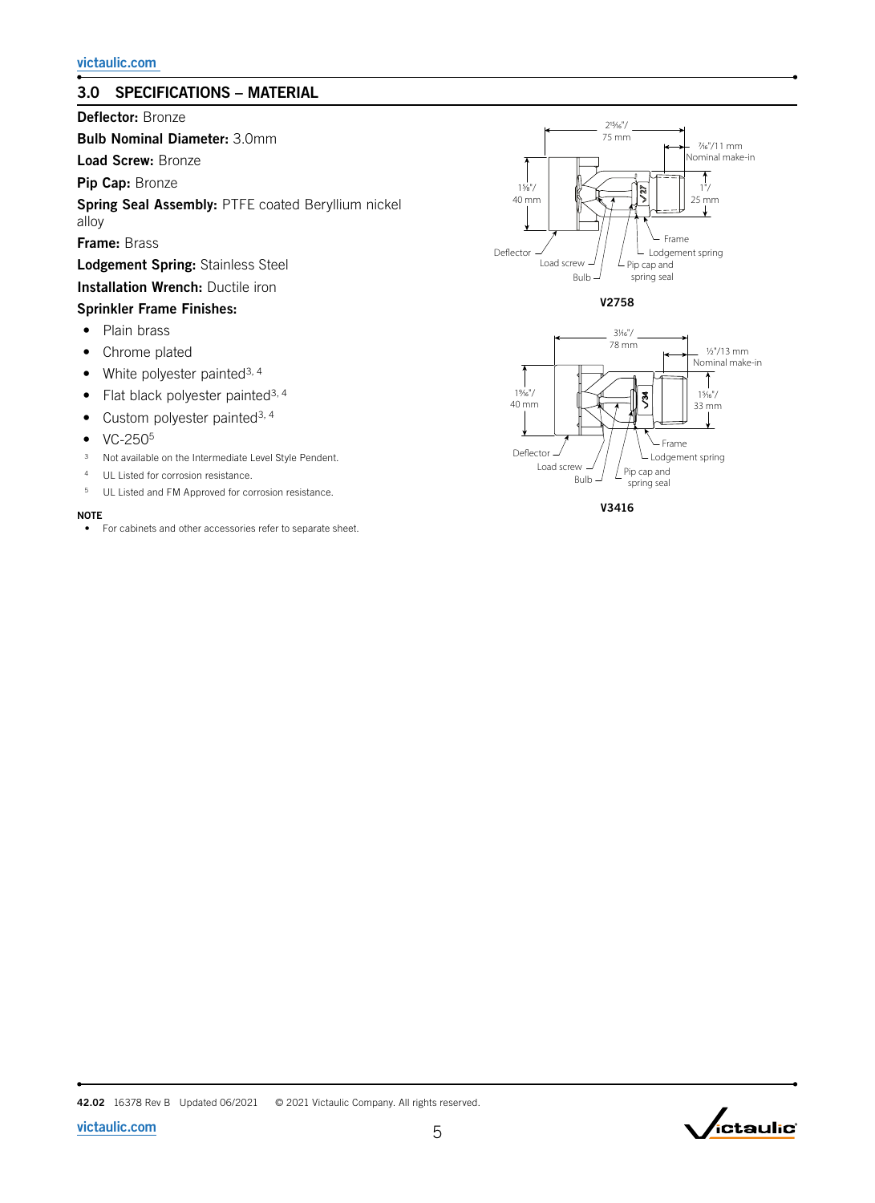# 3.0 SPECIFICATIONS – MATERIAL

Deflector: Bronze

Bulb Nominal Diameter: 3.0mm

Load Screw: Bronze

Pip Cap: Bronze

Spring Seal Assembly: PTFE coated Beryllium nickel alloy

Frame: Brass

Lodgement Spring: Stainless Steel

# Installation Wrench: Ductile iron

### Sprinkler Frame Finishes:

- Plain brass
- Chrome plated
- White polyester painted<sup>3, 4</sup>
- Flat black polyester painted<sup>3, 4</sup>
- Custom polyester painted<sup>3, 4</sup>
- VC-250<sup>5</sup>
- <sup>3</sup> Not available on the Intermediate Level Style Pendent.
- <sup>4</sup> UL Listed for corrosion resistance.
- <sup>5</sup> UL Listed and FM Approved for corrosion resistance.

#### **NOTE**

• For cabinets and other accessories refer to separate sheet.











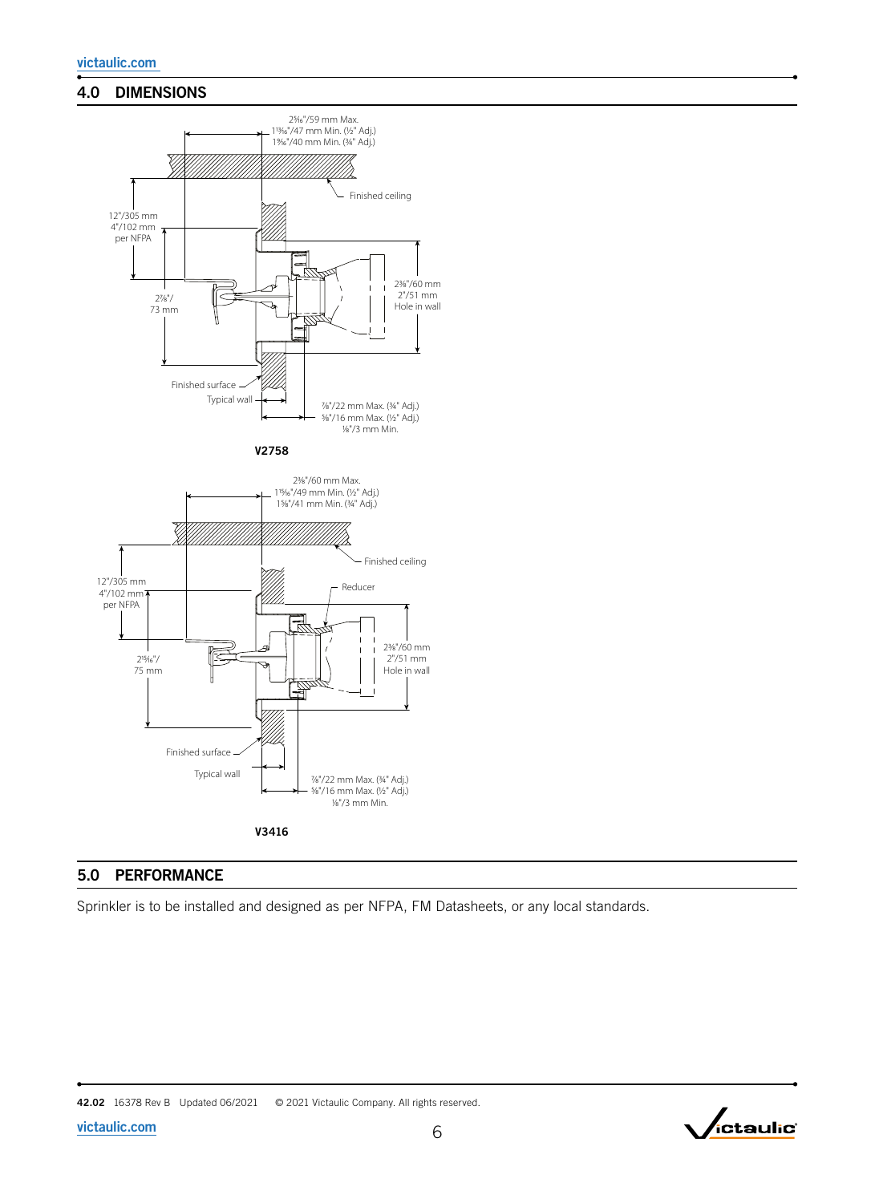# 4.0 DIMENSIONS



### 5.0 PERFORMANCE

Sprinkler is to be installed and designed as per NFPA, FM Datasheets, or any local standards.